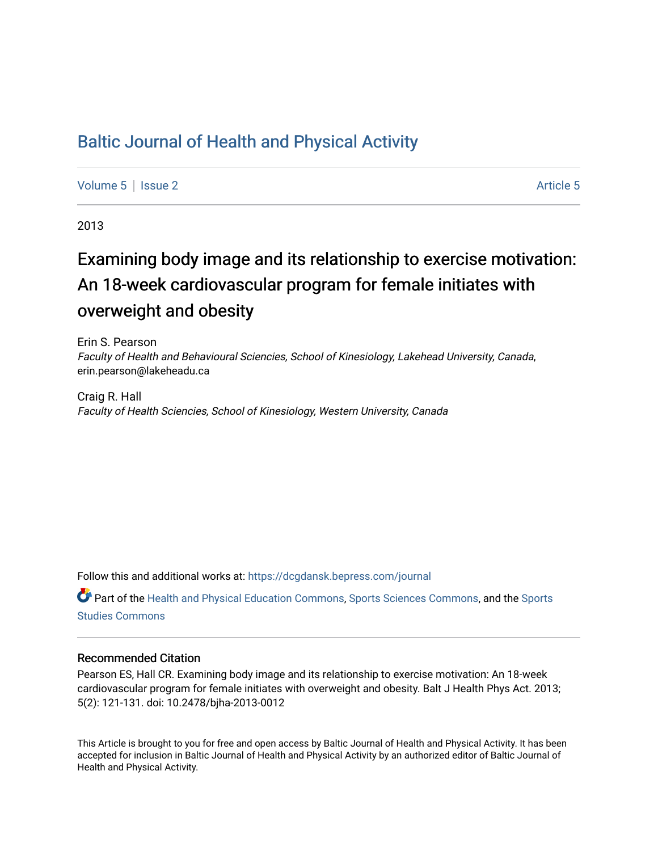# [Baltic Journal of Health and Physical Activity](https://dcgdansk.bepress.com/journal)

[Volume 5](https://dcgdansk.bepress.com/journal/vol5) | [Issue 2](https://dcgdansk.bepress.com/journal/vol5/iss2) Article 5

2013

# Examining body image and its relationship to exercise motivation: An 18-week cardiovascular program for female initiates with overweight and obesity

Erin S. Pearson Faculty of Health and Behavioural Sciencies, School of Kinesiology, Lakehead University, Canada, erin.pearson@lakeheadu.ca

Craig R. Hall Faculty of Health Sciencies, School of Kinesiology, Western University, Canada

Follow this and additional works at: [https://dcgdansk.bepress.com/journal](https://dcgdansk.bepress.com/journal?utm_source=dcgdansk.bepress.com%2Fjournal%2Fvol5%2Fiss2%2F5&utm_medium=PDF&utm_campaign=PDFCoverPages)

Part of the [Health and Physical Education Commons](http://network.bepress.com/hgg/discipline/1327?utm_source=dcgdansk.bepress.com%2Fjournal%2Fvol5%2Fiss2%2F5&utm_medium=PDF&utm_campaign=PDFCoverPages), [Sports Sciences Commons](http://network.bepress.com/hgg/discipline/759?utm_source=dcgdansk.bepress.com%2Fjournal%2Fvol5%2Fiss2%2F5&utm_medium=PDF&utm_campaign=PDFCoverPages), and the [Sports](http://network.bepress.com/hgg/discipline/1198?utm_source=dcgdansk.bepress.com%2Fjournal%2Fvol5%2Fiss2%2F5&utm_medium=PDF&utm_campaign=PDFCoverPages)  [Studies Commons](http://network.bepress.com/hgg/discipline/1198?utm_source=dcgdansk.bepress.com%2Fjournal%2Fvol5%2Fiss2%2F5&utm_medium=PDF&utm_campaign=PDFCoverPages) 

# Recommended Citation

Pearson ES, Hall CR. Examining body image and its relationship to exercise motivation: An 18-week cardiovascular program for female initiates with overweight and obesity. Balt J Health Phys Act. 2013; 5(2): 121-131. doi: 10.2478/bjha-2013-0012

This Article is brought to you for free and open access by Baltic Journal of Health and Physical Activity. It has been accepted for inclusion in Baltic Journal of Health and Physical Activity by an authorized editor of Baltic Journal of Health and Physical Activity.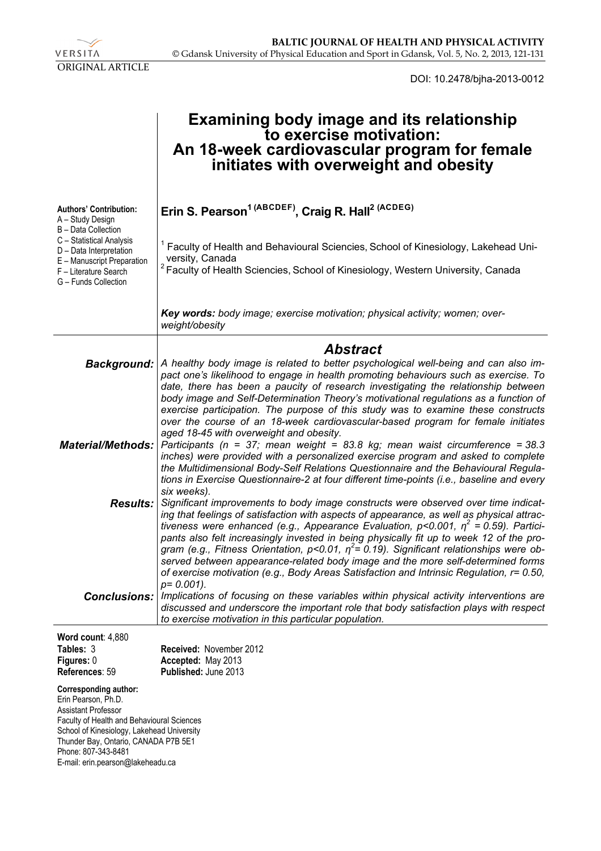

DOI: 10.2478/bjha-2013-0012

|                                                                                                                                                                                                                                                                                   | <b>Examining body image and its relationship</b><br>to exercise motivation:<br>An 18-week cardiovascular program for female<br>initiates with overweight and obesity                                                                                                                                                                                                                                                                                                                                                                                                                                                                                   |
|-----------------------------------------------------------------------------------------------------------------------------------------------------------------------------------------------------------------------------------------------------------------------------------|--------------------------------------------------------------------------------------------------------------------------------------------------------------------------------------------------------------------------------------------------------------------------------------------------------------------------------------------------------------------------------------------------------------------------------------------------------------------------------------------------------------------------------------------------------------------------------------------------------------------------------------------------------|
| <b>Authors' Contribution:</b><br>A - Study Design<br>B - Data Collection<br>C - Statistical Analysis<br>D - Data Interpretation                                                                                                                                                   | Erin S. Pearson <sup>1 (ABCDEF)</sup> , Craig R. Hall <sup>2 (ACDEG)</sup><br>Faculty of Health and Behavioural Sciencies, School of Kinesiology, Lakehead Uni-                                                                                                                                                                                                                                                                                                                                                                                                                                                                                        |
| E - Manuscript Preparation<br>F - Literature Search<br>G - Funds Collection                                                                                                                                                                                                       | versity, Canada<br><sup>2</sup> Faculty of Health Sciencies, School of Kinesiology, Western University, Canada                                                                                                                                                                                                                                                                                                                                                                                                                                                                                                                                         |
|                                                                                                                                                                                                                                                                                   | Key words: body image; exercise motivation; physical activity; women; over-<br>weight/obesity                                                                                                                                                                                                                                                                                                                                                                                                                                                                                                                                                          |
|                                                                                                                                                                                                                                                                                   | <b>Abstract</b>                                                                                                                                                                                                                                                                                                                                                                                                                                                                                                                                                                                                                                        |
| <b>Background:</b>                                                                                                                                                                                                                                                                | A healthy body image is related to better psychological well-being and can also im-<br>pact one's likelihood to engage in health promoting behaviours such as exercise. To<br>date, there has been a paucity of research investigating the relationship between<br>body image and Self-Determination Theory's motivational regulations as a function of<br>exercise participation. The purpose of this study was to examine these constructs                                                                                                                                                                                                           |
|                                                                                                                                                                                                                                                                                   | over the course of an 18-week cardiovascular-based program for female initiates                                                                                                                                                                                                                                                                                                                                                                                                                                                                                                                                                                        |
| <b>Material/Methods:</b>                                                                                                                                                                                                                                                          | aged 18-45 with overweight and obesity.<br>Participants ( $n = 37$ ; mean weight = 83.8 kg; mean waist circumference = 38.3<br>inches) were provided with a personalized exercise program and asked to complete<br>the Multidimensional Body-Self Relations Questionnaire and the Behavioural Regula-<br>tions in Exercise Questionnaire-2 at four different time-points (i.e., baseline and every<br>six weeks).                                                                                                                                                                                                                                      |
| <b>Results:</b>                                                                                                                                                                                                                                                                   | Significant improvements to body image constructs were observed over time indicat-<br>ing that feelings of satisfaction with aspects of appearance, as well as physical attrac-<br>tiveness were enhanced (e.g., Appearance Evaluation, p<0.001, $\eta^2$ = 0.59). Partici-<br>pants also felt increasingly invested in being physically fit up to week 12 of the pro-<br>gram (e.g., Fitness Orientation, p<0.01, $\eta^2$ = 0.19). Significant relationships were ob-<br>served between appearance-related body image and the more self-determined forms<br>of exercise motivation (e.g., Body Areas Satisfaction and Intrinsic Regulation, r= 0.50, |
| <b>Conclusions:</b>                                                                                                                                                                                                                                                               | $p = 0.001$ ).<br>Implications of focusing on these variables within physical activity interventions are<br>discussed and underscore the important role that body satisfaction plays with respect<br>to exercise motivation in this particular population.                                                                                                                                                                                                                                                                                                                                                                                             |
| Word count: 4,880                                                                                                                                                                                                                                                                 |                                                                                                                                                                                                                                                                                                                                                                                                                                                                                                                                                                                                                                                        |
| Tables: 3<br>Figures: 0                                                                                                                                                                                                                                                           | Received: November 2012<br>Accepted: May 2013                                                                                                                                                                                                                                                                                                                                                                                                                                                                                                                                                                                                          |
| References: 59                                                                                                                                                                                                                                                                    | Published: June 2013                                                                                                                                                                                                                                                                                                                                                                                                                                                                                                                                                                                                                                   |
| <b>Corresponding author:</b><br>Erin Pearson, Ph.D.<br><b>Assistant Professor</b><br>Faculty of Health and Behavioural Sciences<br>School of Kinesiology, Lakehead University<br>Thunder Bay, Ontario, CANADA P7B 5E1<br>Phone: 807-343-8481<br>E-mail: erin.pearson@lakeheadu.ca |                                                                                                                                                                                                                                                                                                                                                                                                                                                                                                                                                                                                                                                        |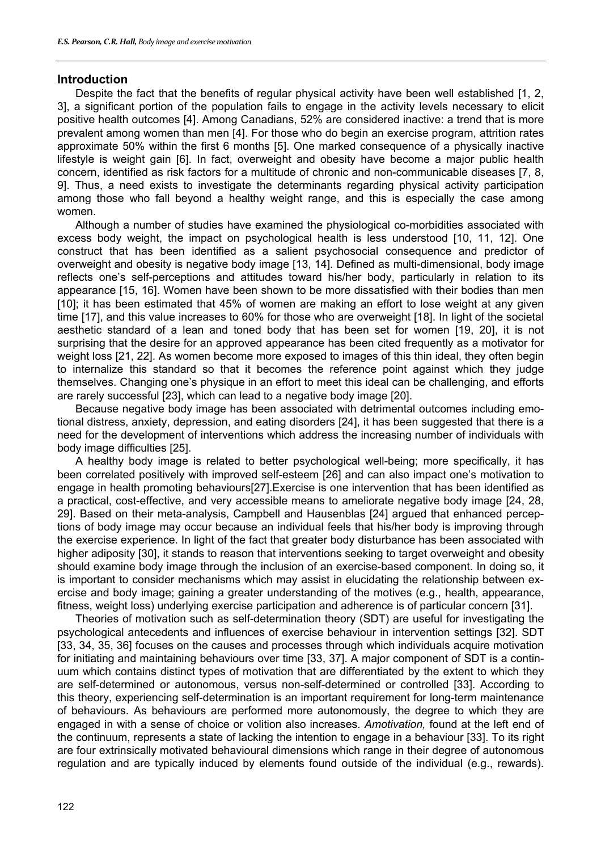# **Introduction**

Despite the fact that the benefits of regular physical activity have been well established [1, 2, 3], a significant portion of the population fails to engage in the activity levels necessary to elicit positive health outcomes [4]. Among Canadians, 52% are considered inactive: a trend that is more prevalent among women than men [4]. For those who do begin an exercise program, attrition rates approximate 50% within the first 6 months [5]. One marked consequence of a physically inactive lifestyle is weight gain [6]. In fact, overweight and obesity have become a major public health concern, identified as risk factors for a multitude of chronic and non-communicable diseases [7, 8, 9]. Thus, a need exists to investigate the determinants regarding physical activity participation among those who fall beyond a healthy weight range, and this is especially the case among women.

Although a number of studies have examined the physiological co-morbidities associated with excess body weight, the impact on psychological health is less understood [10, 11, 12]. One construct that has been identified as a salient psychosocial consequence and predictor of overweight and obesity is negative body image [13, 14]. Defined as multi-dimensional, body image reflects one's self-perceptions and attitudes toward his/her body, particularly in relation to its appearance [15, 16]. Women have been shown to be more dissatisfied with their bodies than men [10]; it has been estimated that 45% of women are making an effort to lose weight at any given time [17], and this value increases to 60% for those who are overweight [18]. In light of the societal aesthetic standard of a lean and toned body that has been set for women [19, 20], it is not surprising that the desire for an approved appearance has been cited frequently as a motivator for weight loss [21, 22]. As women become more exposed to images of this thin ideal, they often begin to internalize this standard so that it becomes the reference point against which they judge themselves. Changing one's physique in an effort to meet this ideal can be challenging, and efforts are rarely successful [23], which can lead to a negative body image [20].

Because negative body image has been associated with detrimental outcomes including emotional distress, anxiety, depression, and eating disorders [24], it has been suggested that there is a need for the development of interventions which address the increasing number of individuals with body image difficulties [25].

A healthy body image is related to better psychological well-being; more specifically, it has been correlated positively with improved self-esteem [26] and can also impact one's motivation to engage in health promoting behaviours[27].Exercise is one intervention that has been identified as a practical, cost-effective, and very accessible means to ameliorate negative body image [24, 28, 29]. Based on their meta-analysis, Campbell and Hausenblas [24] argued that enhanced perceptions of body image may occur because an individual feels that his/her body is improving through the exercise experience. In light of the fact that greater body disturbance has been associated with higher adiposity [30], it stands to reason that interventions seeking to target overweight and obesity should examine body image through the inclusion of an exercise-based component. In doing so, it is important to consider mechanisms which may assist in elucidating the relationship between exercise and body image; gaining a greater understanding of the motives (e.g., health, appearance, fitness, weight loss) underlying exercise participation and adherence is of particular concern [31].

Theories of motivation such as self-determination theory (SDT) are useful for investigating the psychological antecedents and influences of exercise behaviour in intervention settings [32]. SDT [33, 34, 35, 36] focuses on the causes and processes through which individuals acquire motivation for initiating and maintaining behaviours over time [33, 37]. A major component of SDT is a continuum which contains distinct types of motivation that are differentiated by the extent to which they are self-determined or autonomous, versus non-self-determined or controlled [33]. According to this theory, experiencing self-determination is an important requirement for long-term maintenance of behaviours. As behaviours are performed more autonomously, the degree to which they are engaged in with a sense of choice or volition also increases. *Amotivation,* found at the left end of the continuum, represents a state of lacking the intention to engage in a behaviour [33]. To its right are four extrinsically motivated behavioural dimensions which range in their degree of autonomous regulation and are typically induced by elements found outside of the individual (e.g., rewards).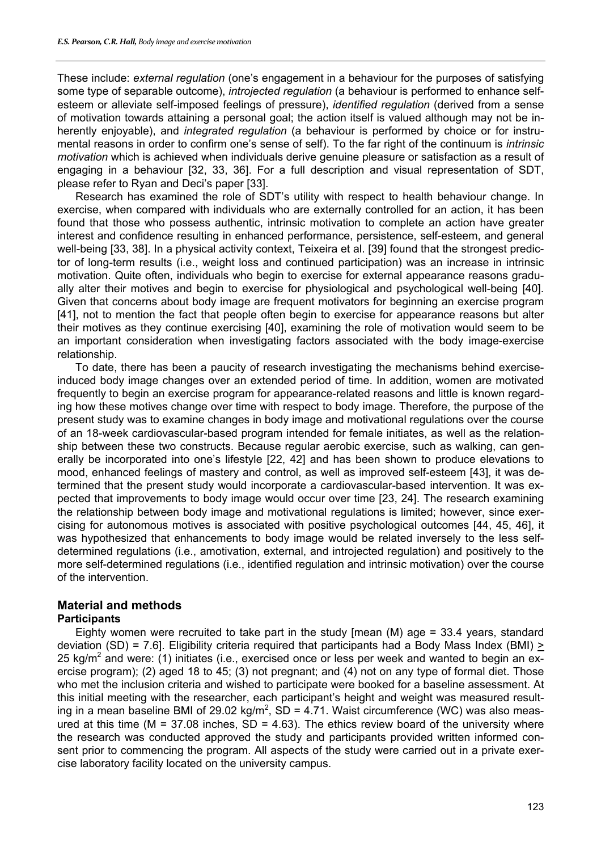These include: *external regulation* (one's engagement in a behaviour for the purposes of satisfying some type of separable outcome), *introjected regulation* (a behaviour is performed to enhance selfesteem or alleviate self-imposed feelings of pressure), *identified regulation* (derived from a sense of motivation towards attaining a personal goal; the action itself is valued although may not be inherently enjoyable), and *integrated regulation* (a behaviour is performed by choice or for instrumental reasons in order to confirm one's sense of self). To the far right of the continuum is *intrinsic motivation* which is achieved when individuals derive genuine pleasure or satisfaction as a result of engaging in a behaviour [32, 33, 36]. For a full description and visual representation of SDT, please refer to Ryan and Deci's paper [33].

Research has examined the role of SDT's utility with respect to health behaviour change. In exercise, when compared with individuals who are externally controlled for an action, it has been found that those who possess authentic, intrinsic motivation to complete an action have greater interest and confidence resulting in enhanced performance, persistence, self-esteem, and general well-being [33, 38]. In a physical activity context, Teixeira et al. [39] found that the strongest predictor of long-term results (i.e., weight loss and continued participation) was an increase in intrinsic motivation. Quite often, individuals who begin to exercise for external appearance reasons gradually alter their motives and begin to exercise for physiological and psychological well-being [40]. Given that concerns about body image are frequent motivators for beginning an exercise program [41], not to mention the fact that people often begin to exercise for appearance reasons but alter their motives as they continue exercising [40], examining the role of motivation would seem to be an important consideration when investigating factors associated with the body image-exercise relationship.

To date, there has been a paucity of research investigating the mechanisms behind exerciseinduced body image changes over an extended period of time. In addition, women are motivated frequently to begin an exercise program for appearance-related reasons and little is known regarding how these motives change over time with respect to body image. Therefore, the purpose of the present study was to examine changes in body image and motivational regulations over the course of an 18-week cardiovascular-based program intended for female initiates, as well as the relationship between these two constructs. Because regular aerobic exercise, such as walking, can generally be incorporated into one's lifestyle [22, 42] and has been shown to produce elevations to mood, enhanced feelings of mastery and control, as well as improved self-esteem [43], it was determined that the present study would incorporate a cardiovascular-based intervention. It was expected that improvements to body image would occur over time [23, 24]. The research examining the relationship between body image and motivational regulations is limited; however, since exercising for autonomous motives is associated with positive psychological outcomes [44, 45, 46], it was hypothesized that enhancements to body image would be related inversely to the less selfdetermined regulations (i.e., amotivation, external, and introjected regulation) and positively to the more self-determined regulations (i.e., identified regulation and intrinsic motivation) over the course of the intervention.

# **Material and methods**

# **Participants**

Eighty women were recruited to take part in the study  $\ell$  mean (M) age = 33.4 years, standard deviation (SD) = 7.6]. Eligibility criteria required that participants had a Body Mass Index (BMI)  $\ge$ 25 kg/m<sup>2</sup> and were: (1) initiates (i.e., exercised once or less per week and wanted to begin an exercise program); (2) aged 18 to 45; (3) not pregnant; and (4) not on any type of formal diet. Those who met the inclusion criteria and wished to participate were booked for a baseline assessment. At this initial meeting with the researcher, each participant's height and weight was measured resulting in a mean baseline BMI of 29.02 kg/m<sup>2</sup>, SD = 4.71. Waist circumference (WC) was also measured at this time ( $M = 37.08$  inches,  $SD = 4.63$ ). The ethics review board of the university where the research was conducted approved the study and participants provided written informed consent prior to commencing the program. All aspects of the study were carried out in a private exercise laboratory facility located on the university campus.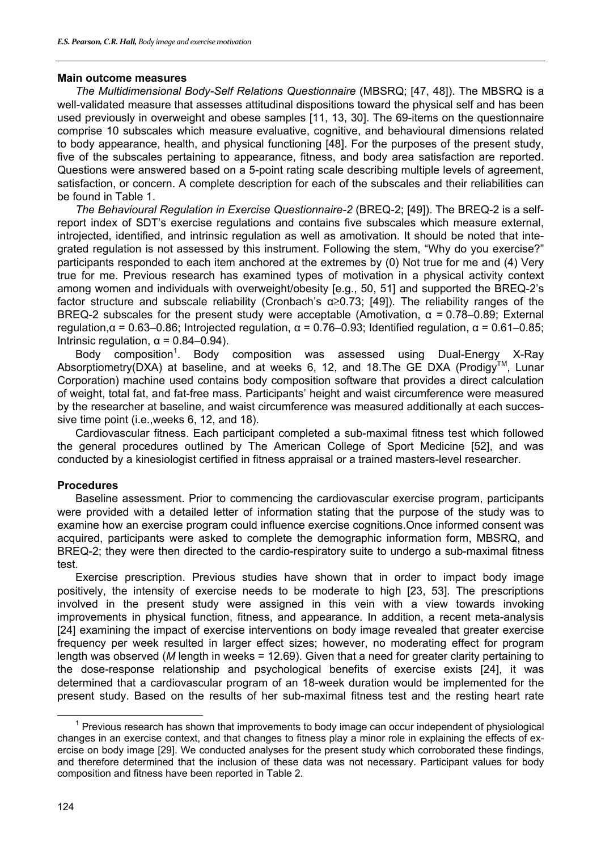# **Main outcome measures**

*The Multidimensional Body-Self Relations Questionnaire* (MBSRQ; [47, 48]). The MBSRQ is a well-validated measure that assesses attitudinal dispositions toward the physical self and has been used previously in overweight and obese samples [11, 13, 30]. The 69-items on the questionnaire comprise 10 subscales which measure evaluative, cognitive, and behavioural dimensions related to body appearance, health, and physical functioning [48]. For the purposes of the present study, five of the subscales pertaining to appearance, fitness, and body area satisfaction are reported. Questions were answered based on a 5-point rating scale describing multiple levels of agreement, satisfaction, or concern. A complete description for each of the subscales and their reliabilities can be found in Table 1.

*The Behavioural Regulation in Exercise Questionnaire-2* (BREQ-2; [49]). The BREQ-2 is a selfreport index of SDT's exercise regulations and contains five subscales which measure external, introjected, identified, and intrinsic regulation as well as amotivation. It should be noted that integrated regulation is not assessed by this instrument. Following the stem, "Why do you exercise?" participants responded to each item anchored at the extremes by (0) Not true for me and (4) Very true for me. Previous research has examined types of motivation in a physical activity context among women and individuals with overweight/obesity [e.g., 50, 51] and supported the BREQ-2's factor structure and subscale reliability (Cronbach's α≥0.73; [49]). The reliability ranges of the BREQ-2 subscales for the present study were acceptable (Amotivation,  $\alpha$  = 0.78–0.89; External regulation,  $α = 0.63-0.86$ ; Introjected regulation,  $α = 0.76-0.93$ ; Identified regulation,  $α = 0.61-0.85$ ; Intrinsic regulation,  $α = 0.84 - 0.94$ ).

Body composition<sup>1</sup>. Body composition was assessed using Dual-Energy X-Ray Absorptiometry(DXA) at baseline, and at weeks 6, 12, and 18. The GE DXA (Prodigy™, Lunar Corporation) machine used contains body composition software that provides a direct calculation of weight, total fat, and fat-free mass. Participants' height and waist circumference were measured by the researcher at baseline, and waist circumference was measured additionally at each successive time point (i.e.,weeks 6, 12, and 18).

Cardiovascular fitness. Each participant completed a sub-maximal fitness test which followed the general procedures outlined by The American College of Sport Medicine [52], and was conducted by a kinesiologist certified in fitness appraisal or a trained masters-level researcher.

# **Procedures**

Baseline assessment. Prior to commencing the cardiovascular exercise program, participants were provided with a detailed letter of information stating that the purpose of the study was to examine how an exercise program could influence exercise cognitions.Once informed consent was acquired, participants were asked to complete the demographic information form, MBSRQ, and BREQ-2; they were then directed to the cardio-respiratory suite to undergo a sub-maximal fitness test.

Exercise prescription. Previous studies have shown that in order to impact body image positively, the intensity of exercise needs to be moderate to high [23, 53]. The prescriptions involved in the present study were assigned in this vein with a view towards invoking improvements in physical function, fitness, and appearance. In addition, a recent meta-analysis [24] examining the impact of exercise interventions on body image revealed that greater exercise frequency per week resulted in larger effect sizes; however, no moderating effect for program length was observed (*M* length in weeks = 12.69). Given that a need for greater clarity pertaining to the dose-response relationship and psychological benefits of exercise exists [24], it was determined that a cardiovascular program of an 18-week duration would be implemented for the present study. Based on the results of her sub-maximal fitness test and the resting heart rate

 $\overline{\phantom{0}}$  1  $<sup>1</sup>$  Previous research has shown that improvements to body image can occur independent of physiological</sup> changes in an exercise context, and that changes to fitness play a minor role in explaining the effects of exercise on body image [29]. We conducted analyses for the present study which corroborated these findings, and therefore determined that the inclusion of these data was not necessary. Participant values for body composition and fitness have been reported in Table 2.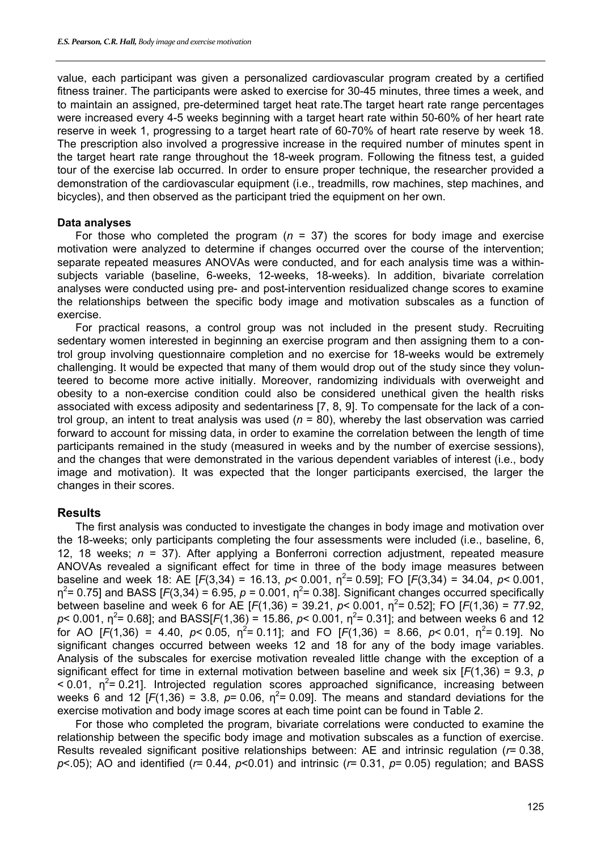value, each participant was given a personalized cardiovascular program created by a certified fitness trainer. The participants were asked to exercise for 30-45 minutes, three times a week, and to maintain an assigned, pre-determined target heat rate.The target heart rate range percentages were increased every 4-5 weeks beginning with a target heart rate within 50-60% of her heart rate reserve in week 1, progressing to a target heart rate of 60-70% of heart rate reserve by week 18. The prescription also involved a progressive increase in the required number of minutes spent in the target heart rate range throughout the 18-week program. Following the fitness test, a guided tour of the exercise lab occurred. In order to ensure proper technique, the researcher provided a demonstration of the cardiovascular equipment (i.e., treadmills, row machines, step machines, and bicycles), and then observed as the participant tried the equipment on her own.

#### **Data analyses**

For those who completed the program (*n* = 37) the scores for body image and exercise motivation were analyzed to determine if changes occurred over the course of the intervention; separate repeated measures ANOVAs were conducted, and for each analysis time was a withinsubjects variable (baseline, 6-weeks, 12-weeks, 18-weeks). In addition, bivariate correlation analyses were conducted using pre- and post-intervention residualized change scores to examine the relationships between the specific body image and motivation subscales as a function of exercise.

For practical reasons, a control group was not included in the present study. Recruiting sedentary women interested in beginning an exercise program and then assigning them to a control group involving questionnaire completion and no exercise for 18-weeks would be extremely challenging. It would be expected that many of them would drop out of the study since they volunteered to become more active initially. Moreover, randomizing individuals with overweight and obesity to a non-exercise condition could also be considered unethical given the health risks associated with excess adiposity and sedentariness [7, 8, 9]. To compensate for the lack of a control group, an intent to treat analysis was used (*n* = 80), whereby the last observation was carried forward to account for missing data, in order to examine the correlation between the length of time participants remained in the study (measured in weeks and by the number of exercise sessions), and the changes that were demonstrated in the various dependent variables of interest (i.e., body image and motivation). It was expected that the longer participants exercised, the larger the changes in their scores.

# **Results**

The first analysis was conducted to investigate the changes in body image and motivation over the 18-weeks; only participants completing the four assessments were included (i.e., baseline, 6, 12, 18 weeks; *n* = 37). After applying a Bonferroni correction adjustment, repeated measure ANOVAs revealed a significant effect for time in three of the body image measures between baseline and week 18: AE [ $F(3,34) = 16.13$ ,  $p < 0.001$ ,  $\eta^2 = 0.59$ ]; FO [ $F(3,34) = 34.04$ ,  $p < 0.001$ ,  $\eta^2$ = 0.75] and BASS [*F*(3,34) = 6.95, *p* = 0.001,  $\eta^2$ = 0.38]. Significant changes occurred specifically between baseline and week 6 for AE  $[F(1,36) = 39.21, p < 0.001, \eta^2 = 0.52]$ ; FO  $[F(1,36) = 77.92,$  $p$ < 0.001,  $\eta^2$ = 0.68]; and BASS[*F*(1,36) = 15.86,  $p$ < 0.001,  $\eta^2$ = 0.31]; and between weeks 6 and 12 for AO [ $F(1,36) = 4.40$ ,  $p < 0.05$ ,  $\eta^2 = 0.11$ ]; and FO [ $F(1,36) = 8.66$ ,  $p < 0.01$ ,  $\eta^2 = 0.19$ ]. No significant changes occurred between weeks 12 and 18 for any of the body image variables. Analysis of the subscales for exercise motivation revealed little change with the exception of a significant effect for time in external motivation between baseline and week six [*F*(1,36) = 9.3, *p*   $< 0.01$ ,  $\eta^2$  = 0.21]. Introjected regulation scores approached significance, increasing between weeks 6 and 12 [ $F(1,36) = 3.8$ ,  $p= 0.06$ ,  $\eta^2 = 0.09$ ]. The means and standard deviations for the exercise motivation and body image scores at each time point can be found in Table 2.

For those who completed the program, bivariate correlations were conducted to examine the relationship between the specific body image and motivation subscales as a function of exercise. Results revealed significant positive relationships between: AE and intrinsic regulation (*r*= 0.38, *p*<.05); AO and identified (*r*= 0.44, *p*<0.01) and intrinsic (*r*= 0.31, *p*= 0.05) regulation; and BASS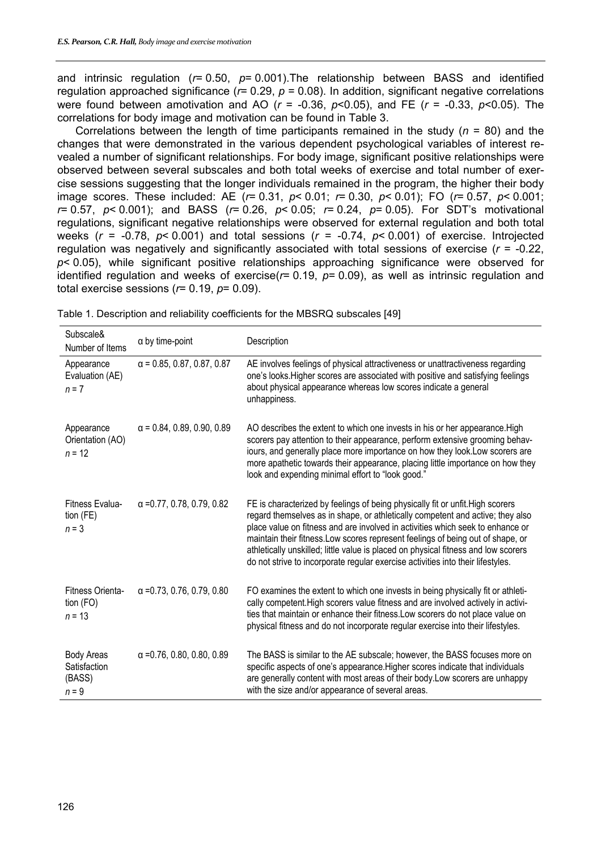and intrinsic regulation (*r*= 0.50, *p*= 0.001).The relationship between BASS and identified regulation approached significance (*r*= 0.29, *p* = 0.08). In addition, significant negative correlations were found between amotivation and AO (*r* = -0.36, *p*<0.05), and FE (*r* = -0.33, *p*<0.05). The correlations for body image and motivation can be found in Table 3.

Correlations between the length of time participants remained in the study (*n* = 80) and the changes that were demonstrated in the various dependent psychological variables of interest revealed a number of significant relationships. For body image, significant positive relationships were observed between several subscales and both total weeks of exercise and total number of exercise sessions suggesting that the longer individuals remained in the program, the higher their body image scores. These included: AE (*r*= 0.31, *p*< 0.01; *r*= 0.30, *p*< 0.01); FO (*r*= 0.57, *p*< 0.001; *r*= 0.57, *p*< 0.001); and BASS (*r*= 0.26, *p*< 0.05; *r*= 0.24, *p*= 0.05). For SDT's motivational regulations, significant negative relationships were observed for external regulation and both total weeks (*r* = -0.78, *p*< 0.001) and total sessions (*r* = -0.74, *p*< 0.001) of exercise. Introjected regulation was negatively and significantly associated with total sessions of exercise (*r* = -0.22, *p*< 0.05), while significant positive relationships approaching significance were observed for identified regulation and weeks of exercise(*r*= 0.19, *p*= 0.09), as well as intrinsic regulation and total exercise sessions (*r*= 0.19, *p*= 0.09).

| Subscale&<br>Number of Items                           | $\alpha$ by time-point            | Description                                                                                                                                                                                                                                                                                                                                                                                                                                                                                                    |
|--------------------------------------------------------|-----------------------------------|----------------------------------------------------------------------------------------------------------------------------------------------------------------------------------------------------------------------------------------------------------------------------------------------------------------------------------------------------------------------------------------------------------------------------------------------------------------------------------------------------------------|
| Appearance<br>Evaluation (AE)<br>$n = 7$               | $\alpha$ = 0.85, 0.87, 0.87, 0.87 | AE involves feelings of physical attractiveness or unattractiveness regarding<br>one's looks. Higher scores are associated with positive and satisfying feelings<br>about physical appearance whereas low scores indicate a general<br>unhappiness.                                                                                                                                                                                                                                                            |
| Appearance<br>Orientation (AO)<br>$n = 12$             | $\alpha$ = 0.84, 0.89, 0.90, 0.89 | AO describes the extent to which one invests in his or her appearance. High<br>scorers pay attention to their appearance, perform extensive grooming behav-<br>iours, and generally place more importance on how they look. Low scorers are<br>more apathetic towards their appearance, placing little importance on how they<br>look and expending minimal effort to "look good."                                                                                                                             |
| Fitness Evalua-<br>tion (FE)<br>$n = 3$                | $\alpha$ = 0.77, 0.78, 0.79, 0.82 | FE is characterized by feelings of being physically fit or unfit. High scorers<br>regard themselves as in shape, or athletically competent and active; they also<br>place value on fitness and are involved in activities which seek to enhance or<br>maintain their fitness. Low scores represent feelings of being out of shape, or<br>athletically unskilled; little value is placed on physical fitness and low scorers<br>do not strive to incorporate regular exercise activities into their lifestyles. |
| Fitness Orienta-<br>tion (FO)<br>$n = 13$              | $\alpha$ = 0.73, 0.76, 0.79, 0.80 | FO examines the extent to which one invests in being physically fit or athleti-<br>cally competent. High scorers value fitness and are involved actively in activi-<br>ties that maintain or enhance their fitness. Low scorers do not place value on<br>physical fitness and do not incorporate regular exercise into their lifestyles.                                                                                                                                                                       |
| <b>Body Areas</b><br>Satisfaction<br>(BASS)<br>$n = 9$ | $\alpha$ = 0.76, 0.80, 0.80, 0.89 | The BASS is similar to the AE subscale; however, the BASS focuses more on<br>specific aspects of one's appearance. Higher scores indicate that individuals<br>are generally content with most areas of their body. Low scorers are unhappy<br>with the size and/or appearance of several areas.                                                                                                                                                                                                                |

Table 1. Description and reliability coefficients for the MBSRQ subscales [49]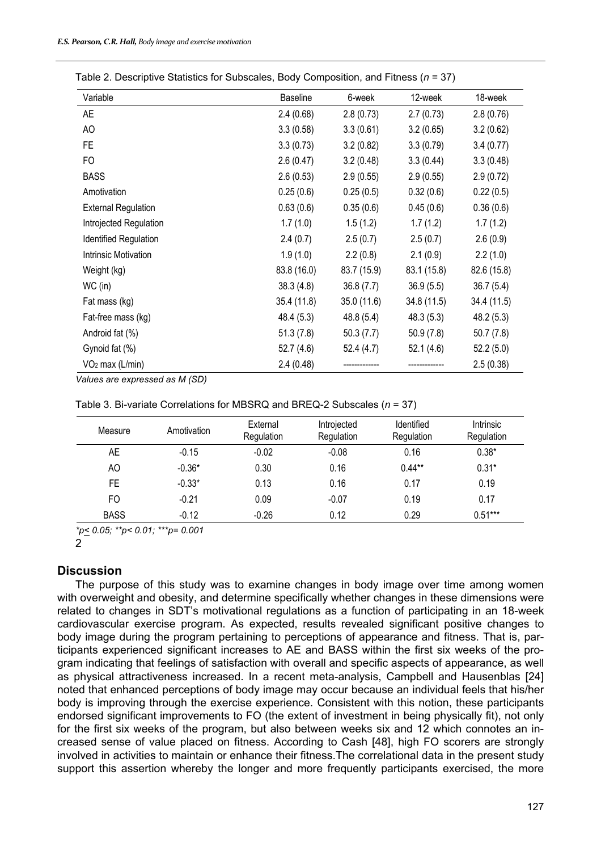| Variable                   | Baseline    | 6-week      | 12-week     | 18-week     |
|----------------------------|-------------|-------------|-------------|-------------|
| <b>AE</b>                  | 2.4(0.68)   | 2.8(0.73)   | 2.7(0.73)   | 2.8(0.76)   |
| AO                         | 3.3(0.58)   | 3.3(0.61)   | 3.2(0.65)   | 3.2(0.62)   |
| FE.                        | 3.3(0.73)   | 3.2(0.82)   | 3.3(0.79)   | 3.4(0.77)   |
| <b>FO</b>                  | 2.6(0.47)   | 3.2(0.48)   | 3.3(0.44)   | 3.3(0.48)   |
| <b>BASS</b>                | 2.6(0.53)   | 2.9(0.55)   | 2.9(0.55)   | 2.9(0.72)   |
| Amotivation                | 0.25(0.6)   | 0.25(0.5)   | 0.32(0.6)   | 0.22(0.5)   |
| <b>External Regulation</b> | 0.63(0.6)   | 0.35(0.6)   | 0.45(0.6)   | 0.36(0.6)   |
| Introjected Regulation     | 1.7(1.0)    | 1.5(1.2)    | 1.7(1.2)    | 1.7(1.2)    |
| Identified Regulation      | 2.4(0.7)    | 2.5(0.7)    | 2.5(0.7)    | 2.6(0.9)    |
| Intrinsic Motivation       | 1.9(1.0)    | 2.2(0.8)    | 2.1(0.9)    | 2.2(1.0)    |
| Weight (kg)                | 83.8 (16.0) | 83.7 (15.9) | 83.1 (15.8) | 82.6 (15.8) |
| WC (in)                    | 38.3(4.8)   | 36.8(7.7)   | 36.9(5.5)   | 36.7(5.4)   |
| Fat mass (kg)              | 35.4 (11.8) | 35.0 (11.6) | 34.8 (11.5) | 34.4 (11.5) |
| Fat-free mass (kg)         | 48.4 (5.3)  | 48.8 (5.4)  | 48.3(5.3)   | 48.2 (5.3)  |
| Android fat (%)            | 51.3(7.8)   | 50.3(7.7)   | 50.9(7.8)   | 50.7(7.8)   |
| Gynoid fat (%)             | 52.7 (4.6)  | 52.4 (4.7)  | 52.1(4.6)   | 52.2(5.0)   |
| $VO2$ max (L/min)          | 2.4(0.48)   |             |             | 2.5(0.38)   |

| Table 2. Descriptive Statistics for Subscales, Body Composition, and Fitness ( $n = 37$ ) |  |
|-------------------------------------------------------------------------------------------|--|
|-------------------------------------------------------------------------------------------|--|

*Values are expressed as M (SD)* 

| Table 3. Bi-variate Correlations for MBSRQ and BREQ-2 Subscales $(n = 37)$ |  |
|----------------------------------------------------------------------------|--|
|                                                                            |  |

| Measure     | Amotivation | External<br>Regulation | Introjected<br>Regulation | Identified<br>Regulation | <b>Intrinsic</b><br>Regulation |
|-------------|-------------|------------------------|---------------------------|--------------------------|--------------------------------|
| AE          | $-0.15$     | $-0.02$                | $-0.08$                   | 0.16                     | $0.38*$                        |
| AO          | $-0.36*$    | 0.30                   | 0.16                      | $0.44**$                 | $0.31*$                        |
| FE          | $-0.33*$    | 0.13                   | 0.16                      | 0.17                     | 0.19                           |
| FO          | $-0.21$     | 0.09                   | $-0.07$                   | 0.19                     | 0.17                           |
| <b>BASS</b> | $-0.12$     | $-0.26$                | 0.12                      | 0.29                     | $0.51***$                      |

*\*p< 0.05; \*\*p< 0.01; \*\*\*p= 0.001* 

2

# **Discussion**

The purpose of this study was to examine changes in body image over time among women with overweight and obesity, and determine specifically whether changes in these dimensions were related to changes in SDT's motivational regulations as a function of participating in an 18-week cardiovascular exercise program. As expected, results revealed significant positive changes to body image during the program pertaining to perceptions of appearance and fitness. That is, participants experienced significant increases to AE and BASS within the first six weeks of the program indicating that feelings of satisfaction with overall and specific aspects of appearance, as well as physical attractiveness increased. In a recent meta-analysis, Campbell and Hausenblas [24] noted that enhanced perceptions of body image may occur because an individual feels that his/her body is improving through the exercise experience. Consistent with this notion, these participants endorsed significant improvements to FO (the extent of investment in being physically fit), not only for the first six weeks of the program, but also between weeks six and 12 which connotes an increased sense of value placed on fitness. According to Cash [48], high FO scorers are strongly involved in activities to maintain or enhance their fitness.The correlational data in the present study support this assertion whereby the longer and more frequently participants exercised, the more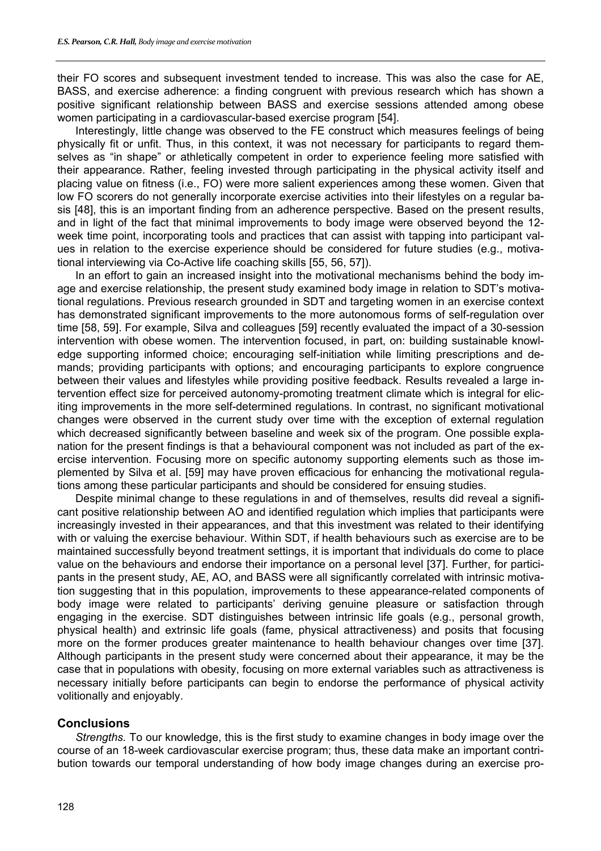their FO scores and subsequent investment tended to increase. This was also the case for AE, BASS, and exercise adherence: a finding congruent with previous research which has shown a positive significant relationship between BASS and exercise sessions attended among obese women participating in a cardiovascular-based exercise program [54].

Interestingly, little change was observed to the FE construct which measures feelings of being physically fit or unfit. Thus, in this context, it was not necessary for participants to regard themselves as "in shape" or athletically competent in order to experience feeling more satisfied with their appearance. Rather, feeling invested through participating in the physical activity itself and placing value on fitness (i.e., FO) were more salient experiences among these women. Given that low FO scorers do not generally incorporate exercise activities into their lifestyles on a regular basis [48], this is an important finding from an adherence perspective. Based on the present results, and in light of the fact that minimal improvements to body image were observed beyond the 12 week time point, incorporating tools and practices that can assist with tapping into participant values in relation to the exercise experience should be considered for future studies (e.g., motivational interviewing via Co-Active life coaching skills [55, 56, 57]).

In an effort to gain an increased insight into the motivational mechanisms behind the body image and exercise relationship, the present study examined body image in relation to SDT's motivational regulations. Previous research grounded in SDT and targeting women in an exercise context has demonstrated significant improvements to the more autonomous forms of self-regulation over time [58, 59]. For example, Silva and colleagues [59] recently evaluated the impact of a 30-session intervention with obese women. The intervention focused, in part, on: building sustainable knowledge supporting informed choice; encouraging self-initiation while limiting prescriptions and demands; providing participants with options; and encouraging participants to explore congruence between their values and lifestyles while providing positive feedback. Results revealed a large intervention effect size for perceived autonomy-promoting treatment climate which is integral for eliciting improvements in the more self-determined regulations. In contrast, no significant motivational changes were observed in the current study over time with the exception of external regulation which decreased significantly between baseline and week six of the program. One possible explanation for the present findings is that a behavioural component was not included as part of the exercise intervention. Focusing more on specific autonomy supporting elements such as those implemented by Silva et al. [59] may have proven efficacious for enhancing the motivational regulations among these particular participants and should be considered for ensuing studies.

Despite minimal change to these regulations in and of themselves, results did reveal a significant positive relationship between AO and identified regulation which implies that participants were increasingly invested in their appearances, and that this investment was related to their identifying with or valuing the exercise behaviour. Within SDT, if health behaviours such as exercise are to be maintained successfully beyond treatment settings, it is important that individuals do come to place value on the behaviours and endorse their importance on a personal level [37]. Further, for participants in the present study, AE, AO, and BASS were all significantly correlated with intrinsic motivation suggesting that in this population, improvements to these appearance-related components of body image were related to participants' deriving genuine pleasure or satisfaction through engaging in the exercise. SDT distinguishes between intrinsic life goals (e.g., personal growth, physical health) and extrinsic life goals (fame, physical attractiveness) and posits that focusing more on the former produces greater maintenance to health behaviour changes over time [37]. Although participants in the present study were concerned about their appearance, it may be the case that in populations with obesity, focusing on more external variables such as attractiveness is necessary initially before participants can begin to endorse the performance of physical activity volitionally and enjoyably.

# **Conclusions**

*Strengths.* To our knowledge, this is the first study to examine changes in body image over the course of an 18-week cardiovascular exercise program; thus, these data make an important contribution towards our temporal understanding of how body image changes during an exercise pro-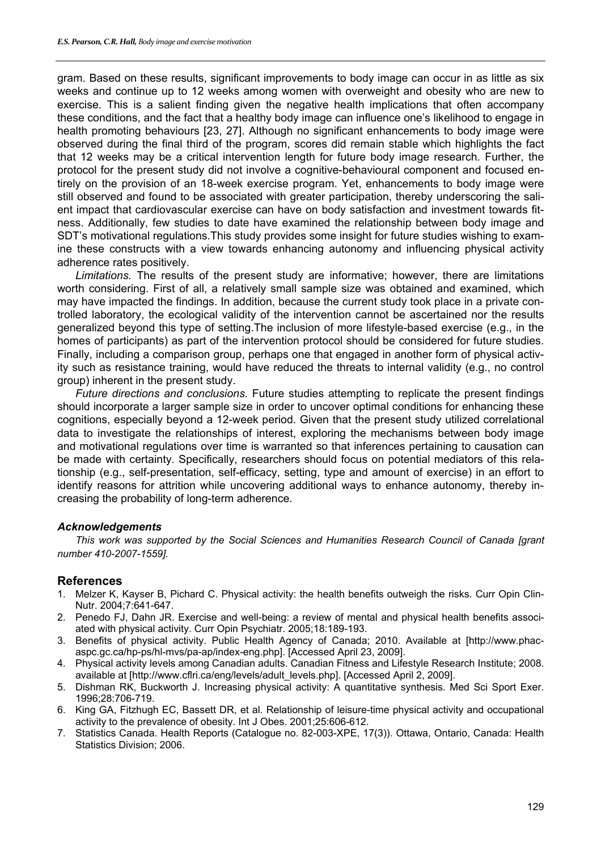gram. Based on these results, significant improvements to body image can occur in as little as six weeks and continue up to 12 weeks among women with overweight and obesity who are new to exercise. This is a salient finding given the negative health implications that often accompany these conditions, and the fact that a healthy body image can influence one's likelihood to engage in health promoting behaviours [23, 27]. Although no significant enhancements to body image were observed during the final third of the program, scores did remain stable which highlights the fact that 12 weeks may be a critical intervention length for future body image research. Further, the protocol for the present study did not involve a cognitive-behavioural component and focused entirely on the provision of an 18-week exercise program. Yet, enhancements to body image were still observed and found to be associated with greater participation, thereby underscoring the salient impact that cardiovascular exercise can have on body satisfaction and investment towards fitness. Additionally, few studies to date have examined the relationship between body image and SDT's motivational regulations.This study provides some insight for future studies wishing to examine these constructs with a view towards enhancing autonomy and influencing physical activity adherence rates positively.

*Limitations.* The results of the present study are informative; however, there are limitations worth considering. First of all, a relatively small sample size was obtained and examined, which may have impacted the findings. In addition, because the current study took place in a private controlled laboratory, the ecological validity of the intervention cannot be ascertained nor the results generalized beyond this type of setting.The inclusion of more lifestyle-based exercise (e.g., in the homes of participants) as part of the intervention protocol should be considered for future studies. Finally, including a comparison group, perhaps one that engaged in another form of physical activity such as resistance training, would have reduced the threats to internal validity (e.g., no control group) inherent in the present study.

*Future directions and conclusions.* Future studies attempting to replicate the present findings should incorporate a larger sample size in order to uncover optimal conditions for enhancing these cognitions, especially beyond a 12-week period. Given that the present study utilized correlational data to investigate the relationships of interest, exploring the mechanisms between body image and motivational regulations over time is warranted so that inferences pertaining to causation can be made with certainty. Specifically, researchers should focus on potential mediators of this relationship (e.g., self-presentation, self-efficacy, setting, type and amount of exercise) in an effort to identify reasons for attrition while uncovering additional ways to enhance autonomy, thereby increasing the probability of long-term adherence.

# *Acknowledgements*

*This work was supported by the Social Sciences and Humanities Research Council of Canada [grant number 410-2007-1559].* 

# **References**

- 1. Melzer K, Kayser B, Pichard C. Physical activity: the health benefits outweigh the risks. Curr Opin Clin-Nutr. 2004;7:641-647.
- 2. Penedo FJ, Dahn JR. Exercise and well-being: a review of mental and physical health benefits associated with physical activity. Curr Opin Psychiatr. 2005;18:189-193.
- 3. Benefits of physical activity. Public Health Agency of Canada; 2010. Available at [http://www.phacaspc.gc.ca/hp-ps/hl-mvs/pa-ap/index-eng.php]. [Accessed April 23, 2009].
- 4. Physical activity levels among Canadian adults. Canadian Fitness and Lifestyle Research Institute; 2008. available at [http://www.cflri.ca/eng/levels/adult\_levels.php]. [Accessed April 2, 2009].
- 5. Dishman RK, Buckworth J. Increasing physical activity: A quantitative synthesis. Med Sci Sport Exer. 1996;28:706-719.
- 6. King GA, Fitzhugh EC, Bassett DR, et al. Relationship of leisure-time physical activity and occupational activity to the prevalence of obesity. Int J Obes. 2001;25:606-612.
- 7. Statistics Canada. Health Reports (Catalogue no. 82-003-XPE, 17(3)). Ottawa, Ontario, Canada: Health Statistics Division; 2006.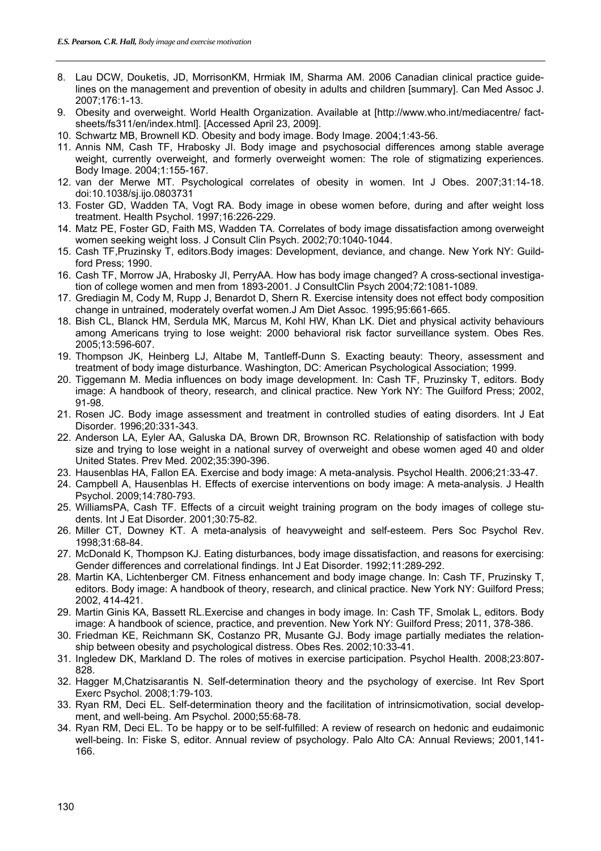- 8. Lau DCW, Douketis, JD, MorrisonKM, Hrmiak IM, Sharma AM. 2006 Canadian clinical practice guidelines on the management and prevention of obesity in adults and children [summary]. Can Med Assoc J. 2007;176:1-13.
- 9. Obesity and overweight. World Health Organization. Available at [http://www.who.int/mediacentre/ factsheets/fs311/en/index.html]. [Accessed April 23, 2009].
- 10. Schwartz MB, Brownell KD. Obesity and body image. Body Image. 2004;1:43-56.
- 11. Annis NM, Cash TF, Hrabosky JI. Body image and psychosocial differences among stable average weight, currently overweight, and formerly overweight women: The role of stigmatizing experiences. Body Image. 2004;1:155-167.
- 12. van der Merwe MT. Psychological correlates of obesity in women. Int J Obes. 2007;31:14-18. doi:10.1038/sj.ijo.0803731
- 13. Foster GD, Wadden TA, Vogt RA. Body image in obese women before, during and after weight loss treatment. Health Psychol. 1997;16:226-229.
- 14. Matz PE, Foster GD, Faith MS, Wadden TA. Correlates of body image dissatisfaction among overweight women seeking weight loss. J Consult Clin Psych. 2002;70:1040-1044.
- 15. Cash TF,Pruzinsky T, editors.Body images: Development, deviance, and change. New York NY: Guildford Press; 1990.
- 16. Cash TF, Morrow JA, Hrabosky JI, PerryAA. How has body image changed? A cross-sectional investigation of college women and men from 1893-2001. J ConsultClin Psych 2004;72:1081-1089.
- 17. Grediagin M, Cody M, Rupp J, Benardot D, Shern R. Exercise intensity does not effect body composition change in untrained, moderately overfat women.J Am Diet Assoc. 1995;95:661-665.
- 18. Bish CL, Blanck HM, Serdula MK, Marcus M, Kohl HW, Khan LK. Diet and physical activity behaviours among Americans trying to lose weight: 2000 behavioral risk factor surveillance system. Obes Res. 2005;13:596-607.
- 19. Thompson JK, Heinberg LJ, Altabe M, Tantleff-Dunn S. Exacting beauty: Theory, assessment and treatment of body image disturbance. Washington, DC: American Psychological Association; 1999.
- 20. Tiggemann M. Media influences on body image development. In: Cash TF, Pruzinsky T, editors. Body image: A handbook of theory, research, and clinical practice. New York NY: The Guilford Press; 2002, 91-98.
- 21. Rosen JC. Body image assessment and treatment in controlled studies of eating disorders. Int J Eat Disorder. 1996;20:331-343.
- 22. Anderson LA, Eyler AA, Galuska DA, Brown DR, Brownson RC. Relationship of satisfaction with body size and trying to lose weight in a national survey of overweight and obese women aged 40 and older United States. Prev Med. 2002;35:390-396.
- 23. Hausenblas HA, Fallon EA. Exercise and body image: A meta-analysis. Psychol Health. 2006;21:33-47.
- 24. Campbell A, Hausenblas H. Effects of exercise interventions on body image: A meta-analysis. J Health Psychol. 2009;14:780-793.
- 25. WilliamsPA, Cash TF. Effects of a circuit weight training program on the body images of college students. Int J Eat Disorder. 2001;30:75-82.
- 26. Miller CT, Downey KT. A meta-analysis of heavyweight and self-esteem. Pers Soc Psychol Rev. 1998;31:68-84.
- 27. McDonald K, Thompson KJ. Eating disturbances, body image dissatisfaction, and reasons for exercising: Gender differences and correlational findings. Int J Eat Disorder. 1992;11:289-292.
- 28. Martin KA, Lichtenberger CM. Fitness enhancement and body image change. In: Cash TF, Pruzinsky T, editors. Body image: A handbook of theory, research, and clinical practice. New York NY: Guilford Press; 2002, 414-421.
- 29. Martin Ginis KA, Bassett RL.Exercise and changes in body image. In: Cash TF, Smolak L, editors. Body image: A handbook of science, practice, and prevention. New York NY: Guilford Press; 2011, 378-386.
- 30. Friedman KE, Reichmann SK, Costanzo PR, Musante GJ. Body image partially mediates the relationship between obesity and psychological distress. Obes Res. 2002;10:33-41.
- 31. Ingledew DK, Markland D. The roles of motives in exercise participation. Psychol Health. 2008;23:807- 828.
- 32. Hagger M,Chatzisarantis N. Self-determination theory and the psychology of exercise. Int Rev Sport Exerc Psychol. 2008;1:79-103.
- 33. Ryan RM, Deci EL. Self-determination theory and the facilitation of intrinsicmotivation, social development, and well-being. Am Psychol. 2000;55:68-78.
- 34. Ryan RM, Deci EL. To be happy or to be self-fulfilled: A review of research on hedonic and eudaimonic well-being. In: Fiske S, editor. Annual review of psychology. Palo Alto CA: Annual Reviews; 2001,141- 166.